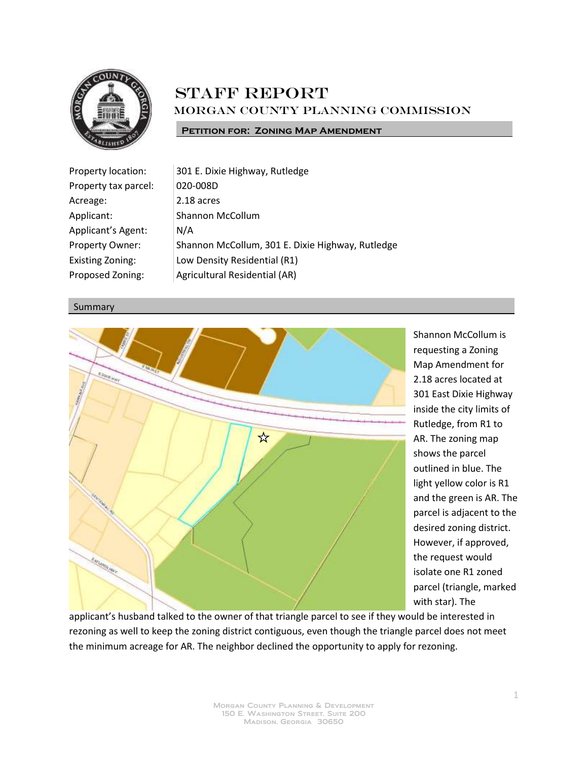

## **STAFF REPORT** Morgan County Planning Commission

**PETITION FOR: ZONING MAP AMENDMENT** 

| Property location:      | 301 E. Dixie Highway, Rutledge                   |
|-------------------------|--------------------------------------------------|
| Property tax parcel:    | 020-008D                                         |
| Acreage:                | 2.18 acres                                       |
| Applicant:              | <b>Shannon McCollum</b>                          |
| Applicant's Agent:      | N/A                                              |
| Property Owner:         | Shannon McCollum, 301 E. Dixie Highway, Rutledge |
| <b>Existing Zoning:</b> | Low Density Residential (R1)                     |
| Proposed Zoning:        | Agricultural Residential (AR)                    |

## Summary



Shannon McCollum is requesting a Zoning Map Amendment for 2.18 acres located at 301 East Dixie Highway inside the city limits of Rutledge, from R1 to AR. The zoning map shows the parcel outlined in blue. The light yellow color is R1 and the green is AR. The parcel is adjacent to the desired zoning district. However, if approved, the request would isolate one R1 zoned parcel (triangle, marked with star). The

applicant's husband talked to the owner of that triangle parcel to see if they would be interested in rezoning as well to keep the zoning district contiguous, even though the triangle parcel does not meet the minimum acreage for AR. The neighbor declined the opportunity to apply for rezoning.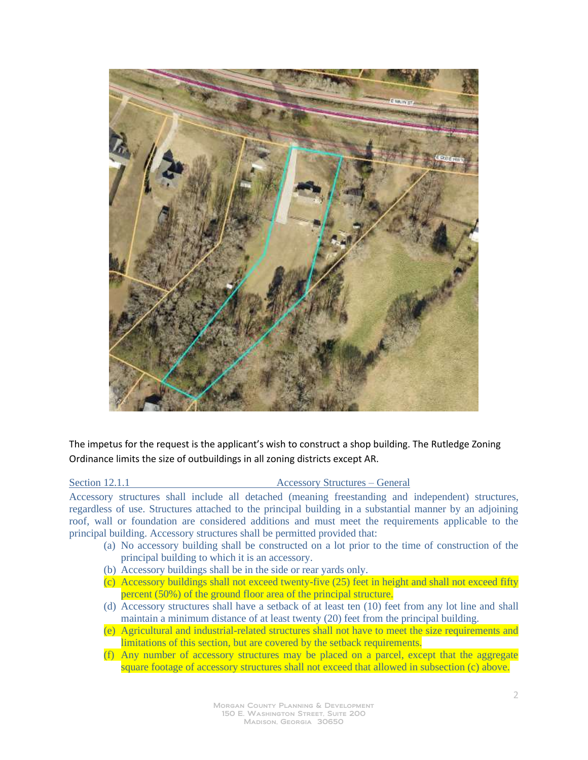

The impetus for the request is the applicant's wish to construct a shop building. The Rutledge Zoning Ordinance limits the size of outbuildings in all zoning districts except AR.

Section 12.1.1 Accessory Structures – General

Accessory structures shall include all detached (meaning freestanding and independent) structures, regardless of use. Structures attached to the principal building in a substantial manner by an adjoining roof, wall or foundation are considered additions and must meet the requirements applicable to the principal building. Accessory structures shall be permitted provided that:

- (a) No accessory building shall be constructed on a lot prior to the time of construction of the principal building to which it is an accessory.
- (b) Accessory buildings shall be in the side or rear yards only.
- (c) Accessory buildings shall not exceed twenty-five (25) feet in height and shall not exceed fifty percent (50%) of the ground floor area of the principal structure.
- (d) Accessory structures shall have a setback of at least ten (10) feet from any lot line and shall maintain a minimum distance of at least twenty (20) feet from the principal building.
- (e) Agricultural and industrial-related structures shall not have to meet the size requirements and limitations of this section, but are covered by the setback requirements.
- (f) Any number of accessory structures may be placed on a parcel, except that the aggregate square footage of accessory structures shall not exceed that allowed in subsection (c) above.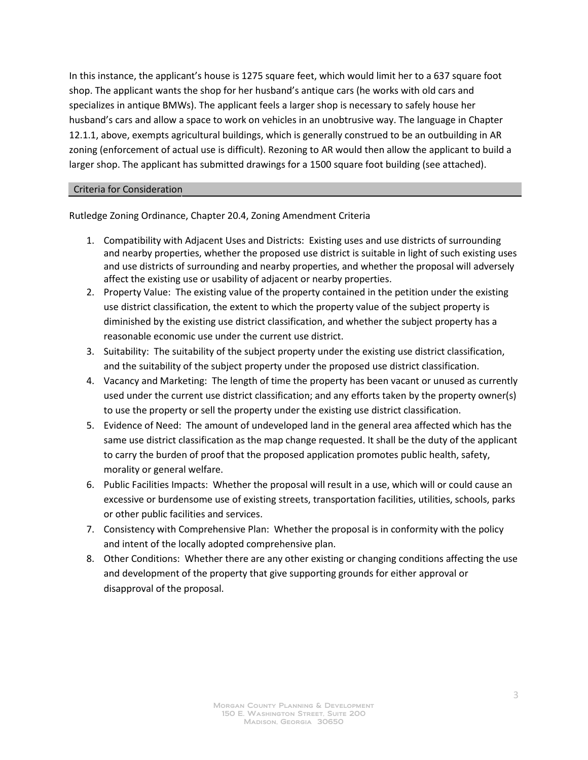In this instance, the applicant's house is 1275 square feet, which would limit her to a 637 square foot shop. The applicant wants the shop for her husband's antique cars (he works with old cars and specializes in antique BMWs). The applicant feels a larger shop is necessary to safely house her husband's cars and allow a space to work on vehicles in an unobtrusive way. The language in Chapter 12.1.1, above, exempts agricultural buildings, which is generally construed to be an outbuilding in AR zoning (enforcement of actual use is difficult). Rezoning to AR would then allow the applicant to build a larger shop. The applicant has submitted drawings for a 1500 square foot building (see attached).

## Criteria for Consideration

Rutledge Zoning Ordinance, Chapter 20.4, Zoning Amendment Criteria

- 1. Compatibility with Adjacent Uses and Districts: Existing uses and use districts of surrounding and nearby properties, whether the proposed use district is suitable in light of such existing uses and use districts of surrounding and nearby properties, and whether the proposal will adversely affect the existing use or usability of adjacent or nearby properties.
- 2. Property Value: The existing value of the property contained in the petition under the existing use district classification, the extent to which the property value of the subject property is diminished by the existing use district classification, and whether the subject property has a reasonable economic use under the current use district.
- 3. Suitability: The suitability of the subject property under the existing use district classification, and the suitability of the subject property under the proposed use district classification.
- 4. Vacancy and Marketing: The length of time the property has been vacant or unused as currently used under the current use district classification; and any efforts taken by the property owner(s) to use the property or sell the property under the existing use district classification.
- 5. Evidence of Need: The amount of undeveloped land in the general area affected which has the same use district classification as the map change requested. It shall be the duty of the applicant to carry the burden of proof that the proposed application promotes public health, safety, morality or general welfare.
- 6. Public Facilities Impacts: Whether the proposal will result in a use, which will or could cause an excessive or burdensome use of existing streets, transportation facilities, utilities, schools, parks or other public facilities and services.
- 7. Consistency with Comprehensive Plan: Whether the proposal is in conformity with the policy and intent of the locally adopted comprehensive plan.
- 8. Other Conditions: Whether there are any other existing or changing conditions affecting the use and development of the property that give supporting grounds for either approval or disapproval of the proposal.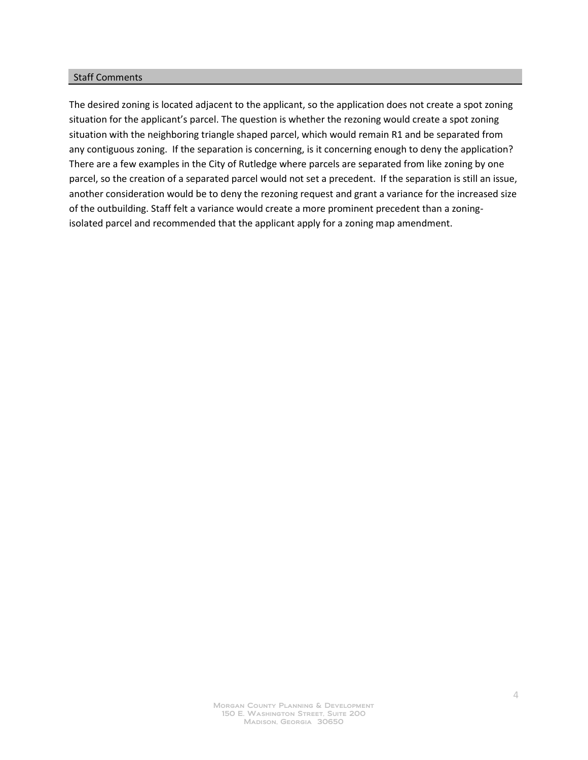## Staff Comments

The desired zoning is located adjacent to the applicant, so the application does not create a spot zoning situation for the applicant's parcel. The question is whether the rezoning would create a spot zoning situation with the neighboring triangle shaped parcel, which would remain R1 and be separated from any contiguous zoning. If the separation is concerning, is it concerning enough to deny the application? There are a few examples in the City of Rutledge where parcels are separated from like zoning by one parcel, so the creation of a separated parcel would not set a precedent. If the separation is still an issue, another consideration would be to deny the rezoning request and grant a variance for the increased size of the outbuilding. Staff felt a variance would create a more prominent precedent than a zoningisolated parcel and recommended that the applicant apply for a zoning map amendment.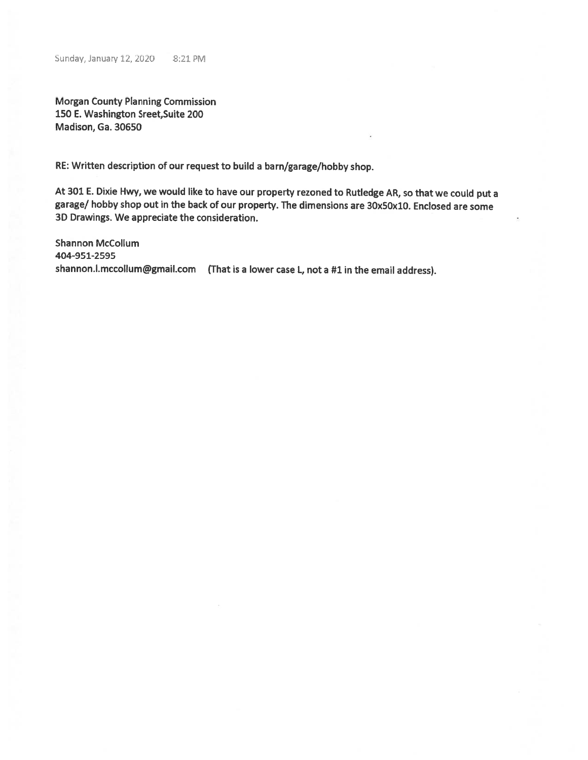**Morgan County Planning Commission** 150 E. Washington Sreet, Suite 200 Madison, Ga. 30650

RE: Written description of our request to build a barn/garage/hobby shop.

At 301 E. Dixie Hwy, we would like to have our property rezoned to Rutledge AR, so that we could put a garage/ hobby shop out in the back of our property. The dimensions are 30x50x10. Enclosed are some 3D Drawings. We appreciate the consideration.

**Shannon McCollum** 404-951-2595 shannon.i.mccollum@gmail.com (That is a lower case L, not a #1 in the email address).